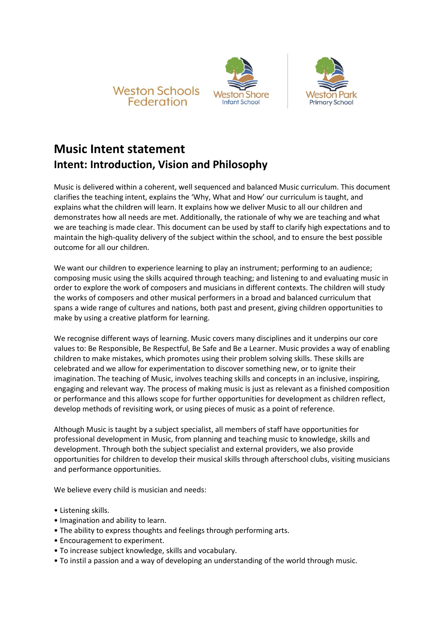





# **Music Intent statement Intent: Introduction, Vision and Philosophy**

Music is delivered within a coherent, well sequenced and balanced Music curriculum. This document clarifies the teaching intent, explains the 'Why, What and How' our curriculum is taught, and explains what the children will learn. It explains how we deliver Music to all our children and demonstrates how all needs are met. Additionally, the rationale of why we are teaching and what we are teaching is made clear. This document can be used by staff to clarify high expectations and to maintain the high-quality delivery of the subject within the school, and to ensure the best possible outcome for all our children.

We want our children to experience learning to play an instrument; performing to an audience; composing music using the skills acquired through teaching; and listening to and evaluating music in order to explore the work of composers and musicians in different contexts. The children will study the works of composers and other musical performers in a broad and balanced curriculum that spans a wide range of cultures and nations, both past and present, giving children opportunities to make by using a creative platform for learning.

We recognise different ways of learning. Music covers many disciplines and it underpins our core values to: Be Responsible, Be Respectful, Be Safe and Be a Learner. Music provides a way of enabling children to make mistakes, which promotes using their problem solving skills. These skills are celebrated and we allow for experimentation to discover something new, or to ignite their imagination. The teaching of Music, involves teaching skills and concepts in an inclusive, inspiring, engaging and relevant way. The process of making music is just as relevant as a finished composition or performance and this allows scope for further opportunities for development as children reflect, develop methods of revisiting work, or using pieces of music as a point of reference.

Although Music is taught by a subject specialist, all members of staff have opportunities for professional development in Music, from planning and teaching music to knowledge, skills and development. Through both the subject specialist and external providers, we also provide opportunities for children to develop their musical skills through afterschool clubs, visiting musicians and performance opportunities.

We believe every child is musician and needs:

- Listening skills.
- Imagination and ability to learn.
- The ability to express thoughts and feelings through performing arts.
- Encouragement to experiment.
- To increase subject knowledge, skills and vocabulary.
- To instil a passion and a way of developing an understanding of the world through music.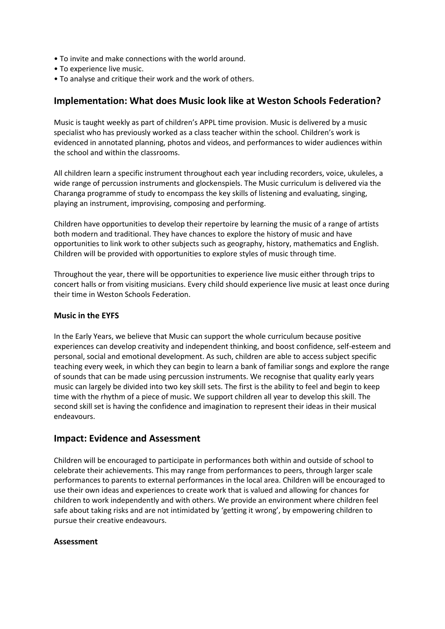- To invite and make connections with the world around.
- To experience live music.
- To analyse and critique their work and the work of others.

## **Implementation: What does Music look like at Weston Schools Federation?**

Music is taught weekly as part of children's APPL time provision. Music is delivered by a music specialist who has previously worked as a class teacher within the school. Children's work is evidenced in annotated planning, photos and videos, and performances to wider audiences within the school and within the classrooms.

All children learn a specific instrument throughout each year including recorders, voice, ukuleles, a wide range of percussion instruments and glockenspiels. The Music curriculum is delivered via the Charanga programme of study to encompass the key skills of listening and evaluating, singing, playing an instrument, improvising, composing and performing.

Children have opportunities to develop their repertoire by learning the music of a range of artists both modern and traditional. They have chances to explore the history of music and have opportunities to link work to other subjects such as geography, history, mathematics and English. Children will be provided with opportunities to explore styles of music through time.

Throughout the year, there will be opportunities to experience live music either through trips to concert halls or from visiting musicians. Every child should experience live music at least once during their time in Weston Schools Federation.

#### **Music in the EYFS**

In the Early Years, we believe that Music can support the whole curriculum because positive experiences can develop creativity and independent thinking, and boost confidence, self-esteem and personal, social and emotional development. As such, children are able to access subject specific teaching every week, in which they can begin to learn a bank of familiar songs and explore the range of sounds that can be made using percussion instruments. We recognise that quality early years music can largely be divided into two key skill sets. The first is the ability to feel and begin to keep time with the rhythm of a piece of music. We support children all year to develop this skill. The second skill set is having the confidence and imagination to represent their ideas in their musical endeavours.

## **Impact: Evidence and Assessment**

Children will be encouraged to participate in performances both within and outside of school to celebrate their achievements. This may range from performances to peers, through larger scale performances to parents to external performances in the local area. Children will be encouraged to use their own ideas and experiences to create work that is valued and allowing for chances for children to work independently and with others. We provide an environment where children feel safe about taking risks and are not intimidated by 'getting it wrong', by empowering children to pursue their creative endeavours.

#### **Assessment**